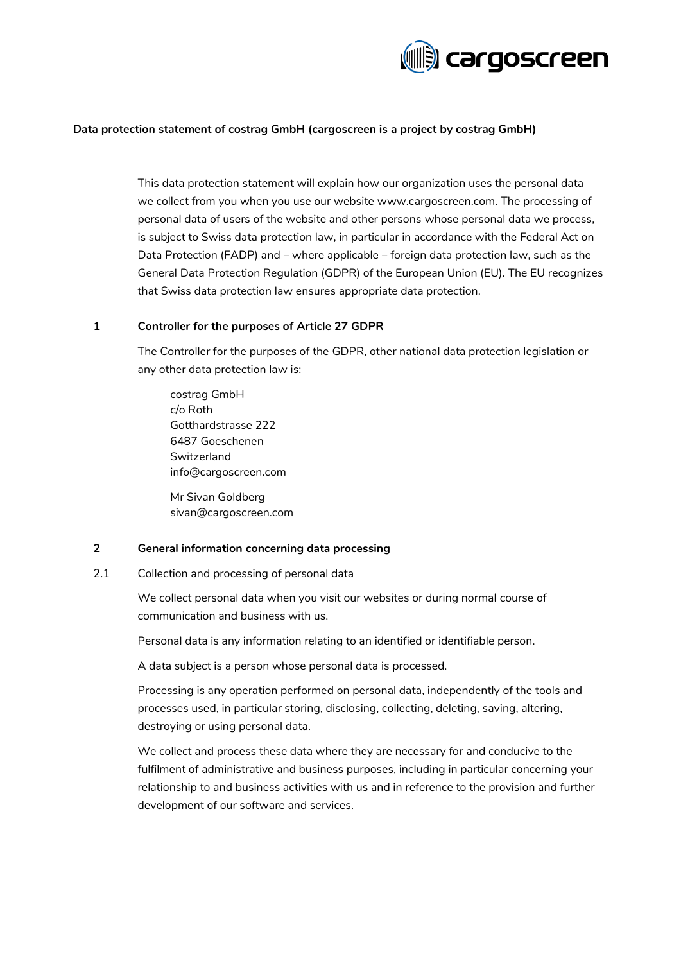

#### **Data protection statement of costrag GmbH (cargoscreen is a project by costrag GmbH)**

This data protection statement will explain how our organization uses the personal data we collect from you when you use our website www.cargoscreen.com. The processing of personal data of users of the website and other persons whose personal data we process, is subject to Swiss data protection law, in particular in accordance with the Federal Act on Data Protection (FADP) and – where applicable – foreign data protection law, such as the General Data Protection Regulation (GDPR) of the European Union (EU). The EU recognizes that Swiss data protection law ensures appropriate data protection.

### **1 Controller for the purposes of Article 27 GDPR**

The Controller for the purposes of the GDPR, other national data protection legislation or any other data protection law is:

costrag GmbH c/o Roth Gotthardstrasse 222 6487 Goeschenen Switzerland info@cargoscreen.com

Mr Sivan Goldberg sivan@cargoscreen.com

### **2 General information concerning data processing**

#### 2.1 Collection and processing of personal data

We collect personal data when you visit our websites or during normal course of communication and business with us.

Personal data is any information relating to an identified or identifiable person.

A data subject is a person whose personal data is processed.

Processing is any operation performed on personal data, independently of the tools and processes used, in particular storing, disclosing, collecting, deleting, saving, altering, destroying or using personal data.

We collect and process these data where they are necessary for and conducive to the fulfilment of administrative and business purposes, including in particular concerning your relationship to and business activities with us and in reference to the provision and further development of our software and services.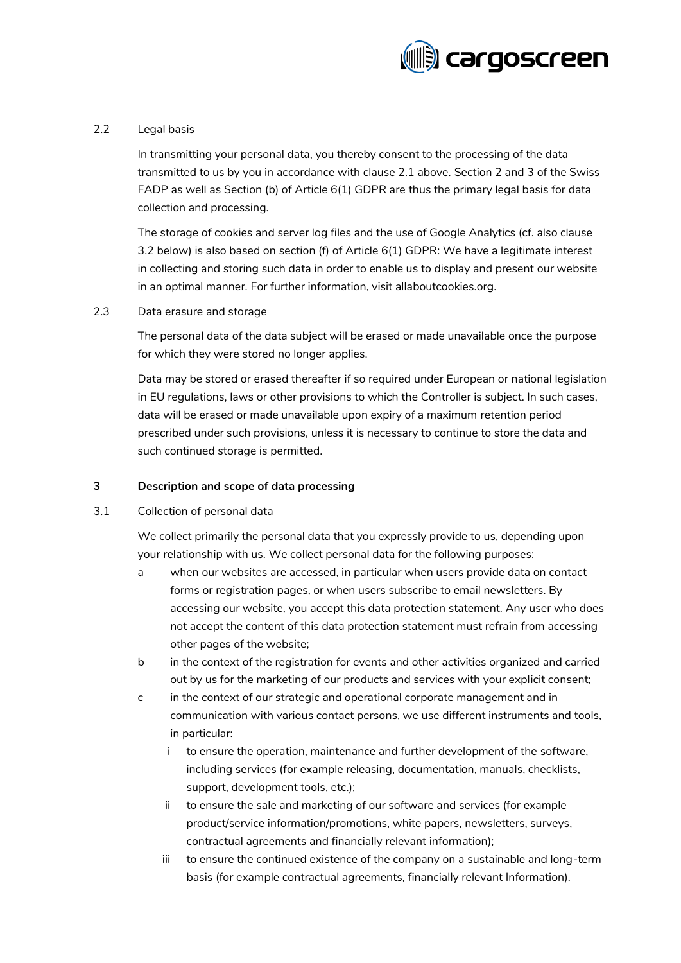

# 2.2 Legal basis

In transmitting your personal data, you thereby consent to the processing of the data transmitted to us by you in accordance with clause 2.1 above. Section 2 and 3 of the Swiss FADP as well as Section (b) of Article 6(1) GDPR are thus the primary legal basis for data collection and processing.

The storage of cookies and server log files and the use of Google Analytics (cf. also clause 3.2 below) is also based on section (f) of Article 6(1) GDPR: We have a legitimate interest in collecting and storing such data in order to enable us to display and present our website in an optimal manner. For further information, visit allaboutcookies.org.

# 2.3 Data erasure and storage

The personal data of the data subject will be erased or made unavailable once the purpose for which they were stored no longer applies.

Data may be stored or erased thereafter if so required under European or national legislation in EU regulations, laws or other provisions to which the Controller is subject. In such cases, data will be erased or made unavailable upon expiry of a maximum retention period prescribed under such provisions, unless it is necessary to continue to store the data and such continued storage is permitted.

## **3 Description and scope of data processing**

3.1 Collection of personal data

We collect primarily the personal data that you expressly provide to us, depending upon your relationship with us. We collect personal data for the following purposes:

- a when our websites are accessed, in particular when users provide data on contact forms or registration pages, or when users subscribe to email newsletters. By accessing our website, you accept this data protection statement. Any user who does not accept the content of this data protection statement must refrain from accessing other pages of the website;
- b in the context of the registration for events and other activities organized and carried out by us for the marketing of our products and services with your explicit consent;
- c in the context of our strategic and operational corporate management and in communication with various contact persons, we use different instruments and tools, in particular:
	- i to ensure the operation, maintenance and further development of the software, including services (for example releasing, documentation, manuals, checklists, support, development tools, etc.);
	- ii to ensure the sale and marketing of our software and services (for example product/service information/promotions, white papers, newsletters, surveys, contractual agreements and financially relevant information);
	- iii to ensure the continued existence of the company on a sustainable and long-term basis (for example contractual agreements, financially relevant Information).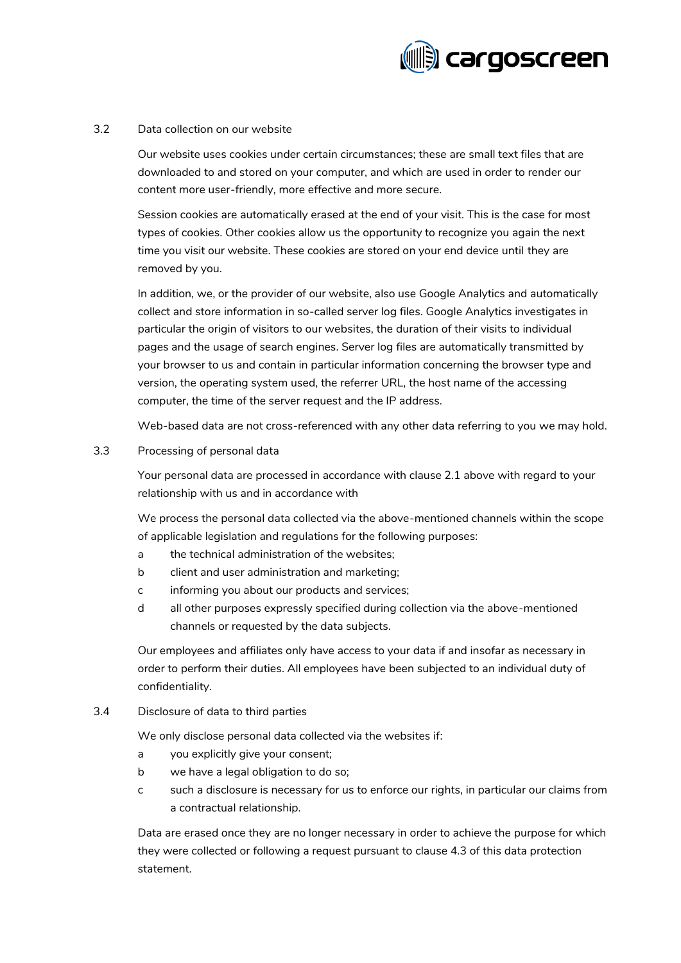

# 3.2 Data collection on our website

Our website uses cookies under certain circumstances; these are small text files that are downloaded to and stored on your computer, and which are used in order to render our content more user-friendly, more effective and more secure.

Session cookies are automatically erased at the end of your visit. This is the case for most types of cookies. Other cookies allow us the opportunity to recognize you again the next time you visit our website. These cookies are stored on your end device until they are removed by you.

In addition, we, or the provider of our website, also use Google Analytics and automatically collect and store information in so-called server log files. Google Analytics investigates in particular the origin of visitors to our websites, the duration of their visits to individual pages and the usage of search engines. Server log files are automatically transmitted by your browser to us and contain in particular information concerning the browser type and version, the operating system used, the referrer URL, the host name of the accessing computer, the time of the server request and the IP address.

Web-based data are not cross-referenced with any other data referring to you we may hold.

3.3 Processing of personal data

Your personal data are processed in accordance with clause 2.1 above with regard to your relationship with us and in accordance with

We process the personal data collected via the above-mentioned channels within the scope of applicable legislation and regulations for the following purposes:

- a the technical administration of the websites;
- b client and user administration and marketing;
- c informing you about our products and services;
- d all other purposes expressly specified during collection via the above-mentioned channels or requested by the data subjects.

Our employees and affiliates only have access to your data if and insofar as necessary in order to perform their duties. All employees have been subjected to an individual duty of confidentiality.

# 3.4 Disclosure of data to third parties

We only disclose personal data collected via the websites if:

- a you explicitly give your consent;
- b we have a legal obligation to do so;
- c such a disclosure is necessary for us to enforce our rights, in particular our claims from a contractual relationship.

Data are erased once they are no longer necessary in order to achieve the purpose for which they were collected or following a request pursuant to clause 4.3 of this data protection statement.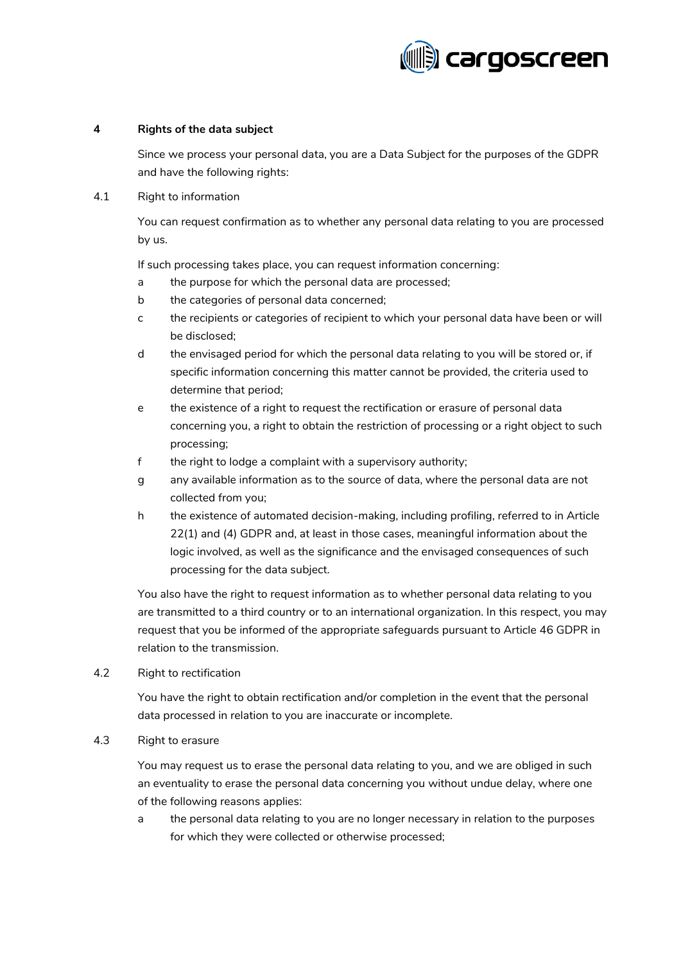

## **4 Rights of the data subject**

Since we process your personal data, you are a Data Subject for the purposes of the GDPR and have the following rights:

4.1 Right to information

You can request confirmation as to whether any personal data relating to you are processed by us.

If such processing takes place, you can request information concerning:

- a the purpose for which the personal data are processed;
- b the categories of personal data concerned;
- c the recipients or categories of recipient to which your personal data have been or will be disclosed;
- d the envisaged period for which the personal data relating to you will be stored or, if specific information concerning this matter cannot be provided, the criteria used to determine that period;
- e the existence of a right to request the rectification or erasure of personal data concerning you, a right to obtain the restriction of processing or a right object to such processing;
- f the right to lodge a complaint with a supervisory authority;
- g any available information as to the source of data, where the personal data are not collected from you;
- h the existence of automated decision-making, including profiling, referred to in Article 22(1) and (4) GDPR and, at least in those cases, meaningful information about the logic involved, as well as the significance and the envisaged consequences of such processing for the data subject.

You also have the right to request information as to whether personal data relating to you are transmitted to a third country or to an international organization. In this respect, you may request that you be informed of the appropriate safeguards pursuant to Article 46 GDPR in relation to the transmission.

4.2 Right to rectification

You have the right to obtain rectification and/or completion in the event that the personal data processed in relation to you are inaccurate or incomplete.

#### 4.3 Right to erasure

You may request us to erase the personal data relating to you, and we are obliged in such an eventuality to erase the personal data concerning you without undue delay, where one of the following reasons applies:

a the personal data relating to you are no longer necessary in relation to the purposes for which they were collected or otherwise processed;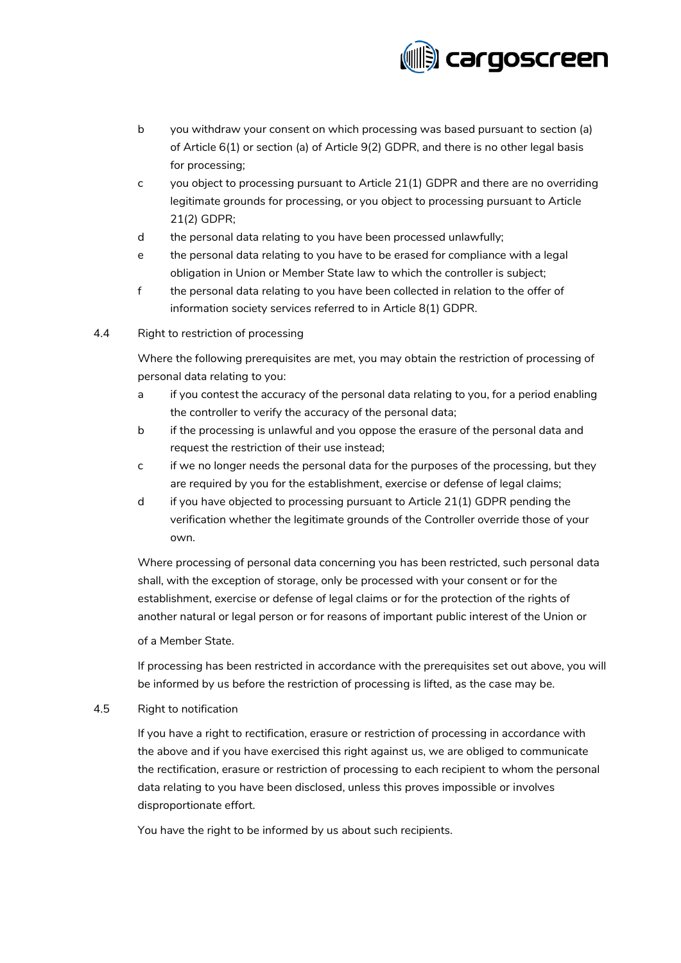

- b you withdraw your consent on which processing was based pursuant to section (a) of Article 6(1) or section (a) of Article 9(2) GDPR, and there is no other legal basis for processing;
- c you object to processing pursuant to Article 21(1) GDPR and there are no overriding legitimate grounds for processing, or you object to processing pursuant to Article 21(2) GDPR;
- d the personal data relating to you have been processed unlawfully;
- e the personal data relating to you have to be erased for compliance with a legal obligation in Union or Member State law to which the controller is subject;
- f the personal data relating to you have been collected in relation to the offer of information society services referred to in Article 8(1) GDPR.

# 4.4 Right to restriction of processing

Where the following prerequisites are met, you may obtain the restriction of processing of personal data relating to you:

- a if you contest the accuracy of the personal data relating to you, for a period enabling the controller to verify the accuracy of the personal data;
- b if the processing is unlawful and you oppose the erasure of the personal data and request the restriction of their use instead;
- c if we no longer needs the personal data for the purposes of the processing, but they are required by you for the establishment, exercise or defense of legal claims;
- d if you have objected to processing pursuant to Article 21(1) GDPR pending the verification whether the legitimate grounds of the Controller override those of your own.

Where processing of personal data concerning you has been restricted, such personal data shall, with the exception of storage, only be processed with your consent or for the establishment, exercise or defense of legal claims or for the protection of the rights of another natural or legal person or for reasons of important public interest of the Union or

# of a Member State.

If processing has been restricted in accordance with the prerequisites set out above, you will be informed by us before the restriction of processing is lifted, as the case may be.

4.5 Right to notification

If you have a right to rectification, erasure or restriction of processing in accordance with the above and if you have exercised this right against us, we are obliged to communicate the rectification, erasure or restriction of processing to each recipient to whom the personal data relating to you have been disclosed, unless this proves impossible or involves disproportionate effort.

You have the right to be informed by us about such recipients.